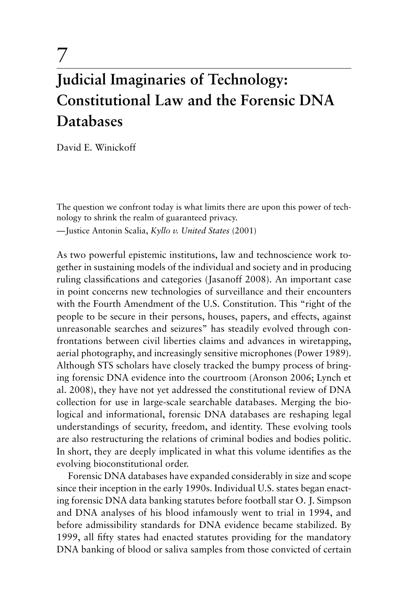# **Judicial Imaginaries of Technology: Constitutional Law and the Forensic DNA Databases**

David E. Winickoff

7

The question we confront today is what limits there are upon this power of technology to shrink the realm of guaranteed privacy.

—Justice Antonin Scalia, *Kyllo v. United States* (2001 )

As two powerful epistemic institutions, law and technoscience work together in sustaining models of the individual and society and in producing ruling classifications and categories (Jasanoff 2008). An important case in point concerns new technologies of surveillance and their encounters with the Fourth Amendment of the U.S. Constitution. This "right of the people to be secure in their persons, houses, papers, and effects, against unreasonable searches and seizures" has steadily evolved through confrontations between civil liberties claims and advances in wire tapping, aerial photography, and increasingly sensitive microphones (Power 1989). Although STS scholars have closely tracked the bumpy process of bringing forensic DNA evidence into the courtroom (Aronson 2006; Lynch et al. 2008), they have not yet addressed the constitutional review of DNA collection for use in large- scale searchable databases. Merging the biological and informational, forensic DNA databases are reshaping legal understandings of security, freedom, and identity. These evolving tools are also restructuring the relations of criminal bodies and bodies politic. In short, they are deeply implicated in what this volume identifies as the evolving bioconstitutional order.

Forensic DNA databases have expanded considerably in size and scope since their inception in the early 1990s. Individual U.S. states began enacting forensic DNA data banking statutes before football star O. J. Simpson and DNA analyses of his blood infamously went to trial in 1994, and before admissibility standards for DNA evidence became stabilized. By 1999, all fifty states had enacted statutes providing for the mandatory DNA banking of blood or saliva samples from those convicted of certain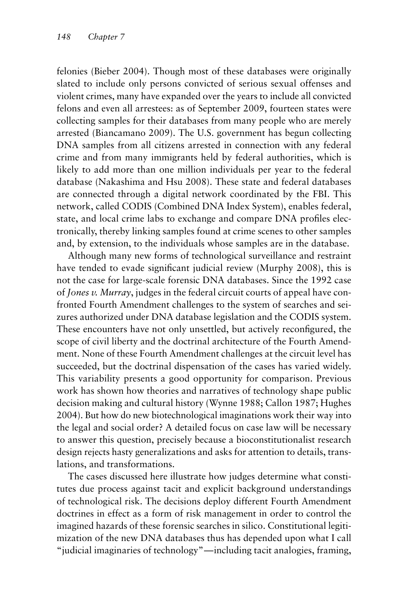felonies (Bieber 2004). Though most of these databases were originally slated to include only persons convicted of serious sexual offenses and violent crimes, many have expanded over the years to include all convicted felons and even all arrestees: as of September 2009, fourteen states were collecting samples for their databases from many people who are merely arrested (Biancamano 2009). The U.S. government has begun collecting DNA samples from all citizens arrested in connection with any federal crime and from many immigrants held by federal authorities, which is likely to add more than one million individuals per year to the federal database ( Nakashima and Hsu 2008 ). These state and federal databases are connected through a digital network coordinated by the FBI. This network, called CODIS (Combined DNA Index System), enables federal, state, and local crime labs to exchange and compare DNA profiles electronically, thereby linking samples found at crime scenes to other samples and, by extension, to the individuals whose samples are in the database.

Although many new forms of technological surveillance and restraint have tended to evade significant judicial review (Murphy 2008), this is not the case for large- scale forensic DNA databases. Since the 1992 case of *Jones v. Murray*, judges in the federal circuit courts of appeal have confronted Fourth Amendment challenges to the system of searches and seizures authorized under DNA database legislation and the CODIS system. These encounters have not only unsettled, but actively reconfigured, the scope of civil liberty and the doctrinal architecture of the Fourth Amendment. None of these Fourth Amendment challenges at the circuit level has succeeded, but the doctrinal dispensation of the cases has varied widely. This variability presents a good opportunity for comparison. Previous work has shown how theories and narratives of technology shape public decision making and cultural history (Wynne 1988; Callon 1987; Hughes 2004 ). But how do new biotechnological imaginations work their way into the legal and social order? A detailed focus on case law will be necessary to answer this question, precisely because a bioconstitutionalist research design rejects hasty generalizations and asks for attention to details, translations, and transformations.

The cases discussed here illustrate how judges determine what constitutes due process against tacit and explicit background understandings of technological risk. The decisions deploy different Fourth Amendment doctrines in effect as a form of risk management in order to control the imagined hazards of these forensic searches in silico. Constitutional legitimization of the new DNA databases thus has depended upon what I call "judicial imaginaries of technology"—including tacit analogies, framing,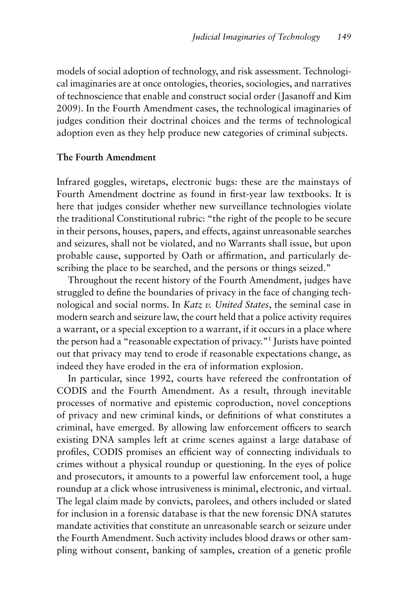models of social adoption of technology, and risk assessment. Technological imaginaries are at once ontologies, theories, sociologies, and narratives of technoscience that enable and construct social order ( Jasanoff and Kim 2009 ). In the Fourth Amendment cases, the technological imaginaries of judges condition their doctrinal choices and the terms of technological adoption even as they help produce new categories of criminal subjects.

## **The Fourth Amendment**

Infrared goggles, wiretaps, electronic bugs: these are the mainstays of Fourth Amendment doctrine as found in first-year law textbooks. It is here that judges consider whether new surveillance technologies violate the traditional Constitutional rubric: "the right of the people to be secure in their persons, houses, papers, and effects, against unreasonable searches and seizures, shall not be violated, and no Warrants shall issue, but upon probable cause, supported by Oath or affirmation, and particularly describing the place to be searched, and the persons or things seized."

Throughout the recent history of the Fourth Amendment, judges have struggled to define the boundaries of privacy in the face of changing technological and social norms. In *Katz v. United States*, the seminal case in modern search and seizure law, the court held that a police activity requires a warrant, or a special exception to a warrant, if it occurs in a place where the person had a "reasonable expectation of privacy." 1 Jurists have pointed out that privacy may tend to erode if reasonable expectations change, as indeed they have eroded in the era of information explosion.

In particular, since 1992, courts have refereed the confrontation of CODIS and the Fourth Amendment. As a result, through inevitable processes of normative and epistemic coproduction, novel conceptions of privacy and new criminal kinds, or definitions of what constitutes a criminal, have emerged. By allowing law enforcement officers to search existing DNA samples left at crime scenes against a large database of profiles, CODIS promises an efficient way of connecting individuals to crimes without a physical roundup or questioning. In the eyes of police and prosecutors, it amounts to a powerful law enforcement tool, a huge roundup at a click whose intrusiveness is minimal, electronic, and virtual. The legal claim made by convicts, parolees, and others included or slated for inclusion in a forensic database is that the new forensic DNA statutes mandate activities that constitute an unreasonable search or seizure under the Fourth Amendment. Such activity includes blood draws or other sampling without consent, banking of samples, creation of a genetic profile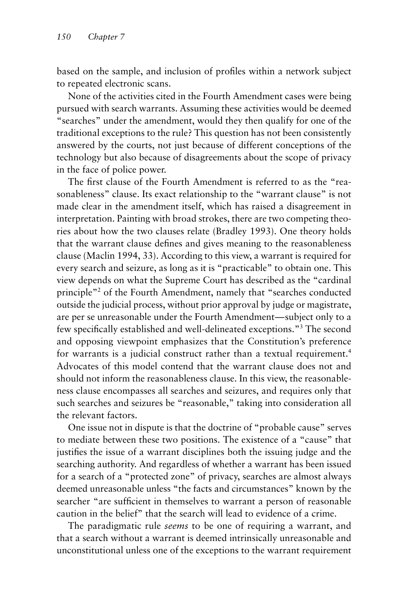based on the sample, and inclusion of profiles within a network subject to repeated electronic scans.

None of the activities cited in the Fourth Amendment cases were being pursued with search warrants. Assuming these activities would be deemed "searches" under the amendment, would they then qualify for one of the traditional exceptions to the rule? This question has not been consistently answered by the courts, not just because of different conceptions of the technology but also because of disagreements about the scope of privacy in the face of police power.

The first clause of the Fourth Amendment is referred to as the "reasonableness" clause. Its exact relationship to the "warrant clause" is not made clear in the amendment itself, which has raised a disagreement in interpretation. Painting with broad strokes, there are two competing theories about how the two clauses relate (Bradley 1993). One theory holds that the warrant clause defines and gives meaning to the reasonableness clause (Maclin 1994, 33). According to this view, a warrant is required for every search and seizure, as long as it is "practicable" to obtain one. This view depends on what the Supreme Court has described as the "cardinal principle"<sup>2</sup> of the Fourth Amendment, namely that "searches conducted outside the judicial process, without prior approval by judge or magistrate, are per se unreasonable under the Fourth Amendment—subject only to a few specifically established and well-delineated exceptions."<sup>3</sup> The second and opposing viewpoint emphasizes that the Constitution's preference for warrants is a judicial construct rather than a textual requirement.<sup>4</sup> Advocates of this model contend that the warrant clause does not and should not inform the reasonableness clause. In this view, the reasonableness clause encompasses all searches and seizures, and requires only that such searches and seizures be "reasonable," taking into consideration all the relevant factors.

One issue not in dispute is that the doctrine of "probable cause" serves to mediate between these two positions. The existence of a "cause" that justifies the issue of a warrant disciplines both the issuing judge and the searching authority. And regardless of whether a warrant has been issued for a search of a "protected zone" of privacy, searches are almost always deemed unreasonable unless "the facts and circumstances" known by the searcher "are sufficient in themselves to warrant a person of reasonable caution in the belief" that the search will lead to evidence of a crime.

The paradigmatic rule *seems* to be one of requiring a warrant, and that a search without a warrant is deemed intrinsically unreasonable and unconstitutional unless one of the exceptions to the warrant requirement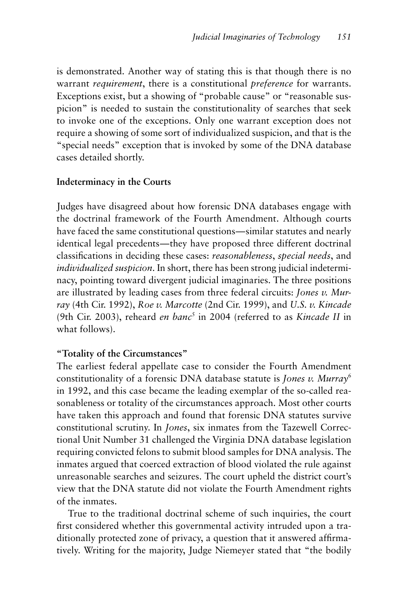is demonstrated. Another way of stating this is that though there is no warrant *requirement*, there is a constitutional *preference* for warrants. Exceptions exist, but a showing of "probable cause" or "reasonable suspicion" is needed to sustain the constitutionality of searches that seek to invoke one of the exceptions. Only one warrant exception does not require a showing of some sort of individualized suspicion, and that is the "special needs" exception that is invoked by some of the DNA database cases detailed shortly.

#### **Indeterminacy in the Courts**

Judges have disagreed about how forensic DNA databases engage with the doctrinal framework of the Fourth Amendment. Although courts have faced the same constitutional questions—similar statutes and nearly identical legal precedents—they have proposed three different doctrinal classifications in deciding these cases: *reasonableness*, *special needs*, and *individualized suspicion*. In short, there has been strong judicial indeterminacy, pointing toward divergent judicial imaginaries. The three positions are illustrated by leading cases from three federal circuits: *Jones v. Murray* (4th Cir. 1992), *Roe v. Marcotte* (2nd Cir. 1999), and *U.S. v. Kincade* (9th Cir. 2003), reheard *en banc<sup>5</sup>* in 2004 (referred to as *Kincade II* in what follows).

## **"Totality of the Circumstances"**

The earliest federal appellate case to consider the Fourth Amendment constitutionality of a forensic DNA database statute is *Jones v. Murray*<sup>6</sup> in 1992, and this case became the leading exemplar of the so-called reasonableness or totality of the circumstances approach. Most other courts have taken this approach and found that forensic DNA statutes survive constitutional scrutiny. In *Jones*, six inmates from the Tazewell Correctional Unit Number 31 challenged the Virginia DNA database legislation requiring convicted felons to submit blood samples for DNA analysis. The inmates argued that coerced extraction of blood violated the rule against unreasonable searches and seizures. The court upheld the district court's view that the DNA statute did not violate the Fourth Amendment rights of the inmates.

True to the traditional doctrinal scheme of such inquiries, the court first considered whether this governmental activity intruded upon a traditionally protected zone of privacy, a question that it answered affirmatively. Writing for the majority, Judge Niemeyer stated that "the bodily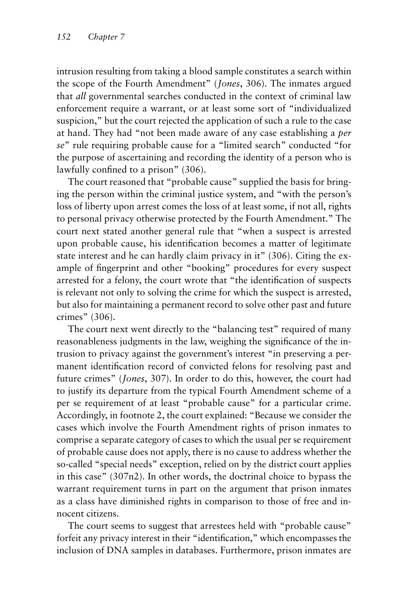intrusion resulting from taking a blood sample constitutes a search within the scope of the Fourth Amendment" ( *Jones*, 306). The inmates argued that *all* governmental searches conducted in the context of criminal law enforcement require a warrant, or at least some sort of "individualized suspicion," but the court rejected the application of such a rule to the case at hand. They had "not been made aware of any case establishing a *per se*" rule requiring probable cause for a "limited search" conducted "for the purpose of ascertaining and recording the identity of a person who is lawfully confined to a prison" (306).

The court reasoned that "probable cause" supplied the basis for bringing the person within the criminal justice system, and "with the person's loss of liberty upon arrest comes the loss of at least some, if not all, rights to personal privacy otherwise protected by the Fourth Amendment." The court next stated another general rule that "when a suspect is arrested upon probable cause, his identification becomes a matter of legitimate state interest and he can hardly claim privacy in it" (306). Citing the example of fingerprint and other "booking" procedures for every suspect arrested for a felony, the court wrote that "the identification of suspects is relevant not only to solving the crime for which the suspect is arrested, but also for maintaining a permanent record to solve other past and future crimes" (306).

The court next went directly to the "balancing test" required of many reasonableness judgments in the law, weighing the significance of the intrusion to privacy against the government's interest "in preserving a permanent identification record of convicted felons for resolving past and future crimes" ( *Jones*, 307). In order to do this, however, the court had to justify its departure from the typical Fourth Amendment scheme of a per se requirement of at least "probable cause" for a particular crime. Accordingly, in footnote 2, the court explained: "Because we consider the cases which involve the Fourth Amendment rights of prison inmates to comprise a separate category of cases to which the usual per se requirement of probable cause does not apply, there is no cause to address whether the so- called "special needs" exception, relied on by the district court applies in this case" (307n2). In other words, the doctrinal choice to bypass the warrant requirement turns in part on the argument that prison inmates as a class have diminished rights in comparison to those of free and innocent citizens.

The court seems to suggest that arrestees held with "probable cause" forfeit any privacy interest in their "identification," which encompasses the inclusion of DNA samples in databases. Furthermore, prison inmates are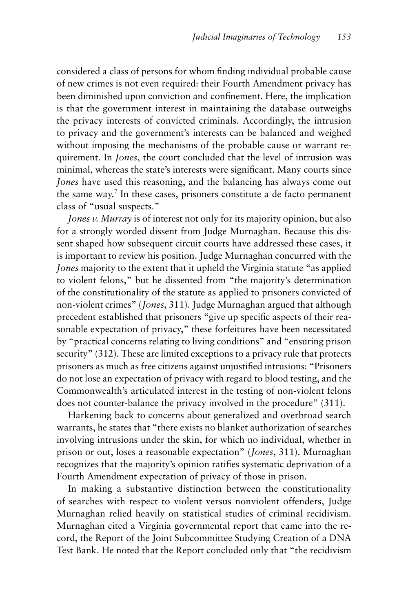considered a class of persons for whom finding individual probable cause of new crimes is not even required: their Fourth Amendment privacy has been diminished upon conviction and confinement. Here, the implication is that the government interest in maintaining the database outweighs the privacy interests of convicted criminals. Accordingly, the intrusion to privacy and the government's interests can be balanced and weighed without imposing the mechanisms of the probable cause or warrant requirement. In *Jones*, the court concluded that the level of intrusion was minimal, whereas the state's interests were significant. Many courts since *Jones* have used this reasoning, and the balancing has always come out the same way.<sup>7</sup> In these cases, prisoners constitute a de facto permanent class of "usual suspects."

*Jones v. Murray* is of interest not only for its majority opinion, but also for a strongly worded dissent from Judge Murnaghan. Because this dissent shaped how subsequent circuit courts have addressed these cases, it is important to review his position. Judge Murnaghan concurred with the *Jones* majority to the extent that it upheld the Virginia statute "as applied to violent felons," but he dissented from "the majority's determination of the constitutionality of the statute as applied to prisoners convicted of non- violent crimes" ( *Jones*, 311). Judge Murnaghan argued that although precedent established that prisoners "give up specific aspects of their reasonable expectation of privacy," these forfeitures have been necessitated by "practical concerns relating to living conditions" and "ensuring prison security" (312). These are limited exceptions to a privacy rule that protects prisoners as much as free citizens against unjustified intrusions: "Prisoners" do not lose an expectation of privacy with regard to blood testing, and the Commonwealth's articulated interest in the testing of non- violent felons does not counter-balance the privacy involved in the procedure" (311).

Harkening back to concerns about generalized and overbroad search warrants, he states that "there exists no blanket authorization of searches involving intrusions under the skin, for which no individual, whether in prison or out, loses a reasonable expectation" ( *Jones*, 311). Murnaghan recognizes that the majority's opinion ratifies systematic deprivation of a Fourth Amendment expectation of privacy of those in prison.

In making a substantive distinction between the constitutionality of searches with respect to violent versus nonviolent offenders, Judge Murnaghan relied heavily on statistical studies of criminal recidivism. Murnaghan cited a Virginia governmental report that came into the record, the Report of the Joint Subcommittee Studying Creation of a DNA Test Bank. He noted that the Report concluded only that "the recidivism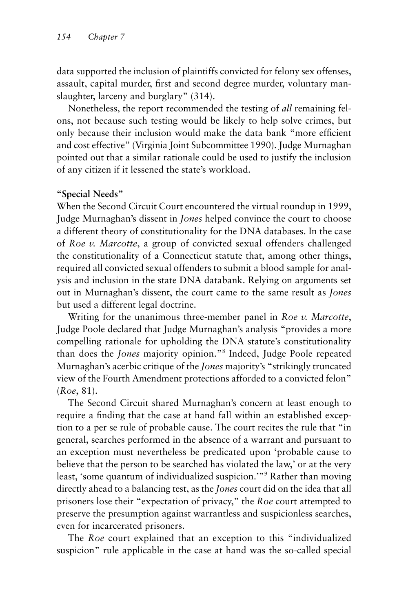data supported the inclusion of plaintiffs convicted for felony sex offenses, assault, capital murder, first and second degree murder, voluntary manslaughter, larceny and burglary" (314).

Nonetheless, the report recommended the testing of *all* remaining felons, not because such testing would be likely to help solve crimes, but only because their inclusion would make the data bank "more efficient and cost effective" ( Virginia Joint Subcommittee 1990 ). Judge Murnaghan pointed out that a similar rationale could be used to justify the inclusion of any citizen if it lessened the state's workload.

## **"Special Needs"**

When the Second Circuit Court encountered the virtual roundup in 1999, Judge Murnaghan's dissent in *Jones* helped convince the court to choose a different theory of constitutionality for the DNA databases. In the case of *Roe v. Marcotte*, a group of convicted sexual offenders challenged the constitutionality of a Connecticut statute that, among other things, required all convicted sexual offenders to submit a blood sample for analysis and inclusion in the state DNA databank. Relying on arguments set out in Murnaghan's dissent, the court came to the same result as *Jones* but used a different legal doctrine.

Writing for the unanimous three- member panel in *Roe v. Marcotte*, Judge Poole declared that Judge Murnaghan's analysis "provides a more compelling rationale for upholding the DNA statute's constitutionality than does the *Jones* majority opinion."<sup>8</sup> Indeed, Judge Poole repeated Murnaghan's acerbic critique of the *Jones* majority's "strikingly truncated view of the Fourth Amendment protections afforded to a convicted felon" ( *Roe*, 81).

The Second Circuit shared Murnaghan's concern at least enough to require a finding that the case at hand fall within an established exception to a per se rule of probable cause. The court recites the rule that "in general, searches performed in the absence of a warrant and pursuant to an exception must nevertheless be predicated upon 'probable cause to believe that the person to be searched has violated the law,' or at the very least, 'some quantum of individualized suspicion.'"<sup>9</sup> Rather than moving directly ahead to a balancing test, as the *Jones* court did on the idea that all prisoners lose their "expectation of privacy," the *Roe* court attempted to preserve the presumption against warrantless and suspicionless searches, even for incarcerated prisoners.

The *Roe* court explained that an exception to this "individualized suspicion" rule applicable in the case at hand was the so-called special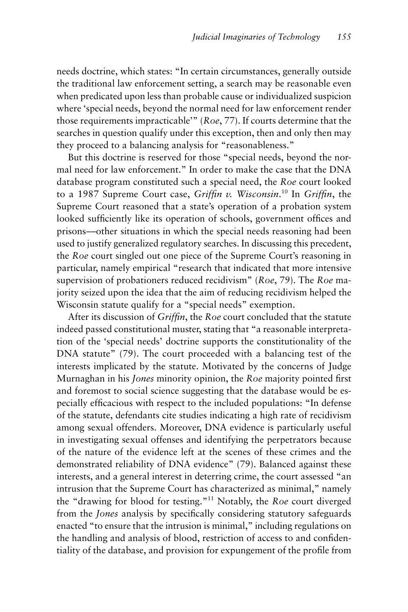needs doctrine, which states: "In certain circumstances, generally outside the traditional law enforcement setting, a search may be reasonable even when predicated upon less than probable cause or individualized suspicion where 'special needs, beyond the normal need for law enforcement render those requirements impracticable'" ( *Roe*, 77). If courts determine that the searches in question qualify under this exception, then and only then may they proceed to a balancing analysis for "reasonableness."

But this doctrine is reserved for those "special needs, beyond the normal need for law enforcement." In order to make the case that the DNA database program constituted such a special need, the *Roe* court looked to a 1987 Supreme Court case, *Griffin v. Wisconsin*.<sup>10</sup> In *Griffin*, the Supreme Court reasoned that a state's operation of a probation system looked sufficiently like its operation of schools, government offices and prisons––other situations in which the special needs reasoning had been used to justify generalized regulatory searches. In discussing this precedent, the *Roe* court singled out one piece of the Supreme Court's reasoning in particular, namely empirical "research that indicated that more intensive supervision of probationers reduced recidivism" ( *Roe*, 79). The *Roe* majority seized upon the idea that the aim of reducing recidivism helped the Wisconsin statute qualify for a "special needs" exemption.

After its discussion of *Griffin*, the *Roe* court concluded that the statute indeed passed constitutional muster, stating that "a reasonable interpretation of the 'special needs' doctrine supports the constitutionality of the DNA statute" (79). The court proceeded with a balancing test of the interests implicated by the statute. Motivated by the concerns of Judge Murnaghan in his *Jones* minority opinion, the *Roe* majority pointed first and foremost to social science suggesting that the database would be especially efficacious with respect to the included populations: "In defense of the statute, defendants cite studies indicating a high rate of recidivism among sexual offenders. Moreover, DNA evidence is particularly useful in investigating sexual offenses and identifying the perpetrators because of the nature of the evidence left at the scenes of these crimes and the demonstrated reliability of DNA evidence" (79). Balanced against these interests, and a general interest in deterring crime, the court assessed "an intrusion that the Supreme Court has characterized as minimal," namely the "drawing for blood for testing." 11 Notably, the *Roe* court diverged from the *Jones* analysis by specifically considering statutory safeguards enacted "to ensure that the intrusion is minimal," including regulations on the handling and analysis of blood, restriction of access to and confidentiality of the database, and provision for expungement of the profile from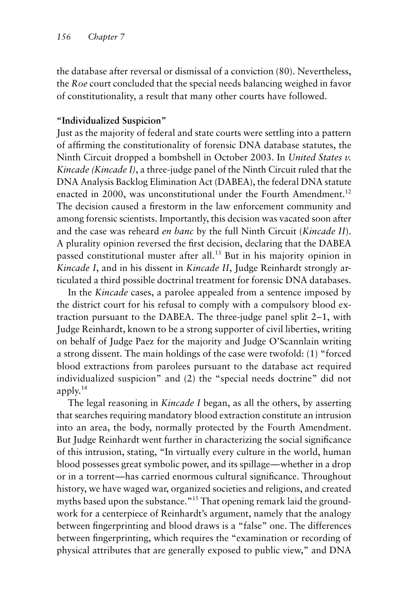the database after reversal or dismissal of a conviction (80). Nevertheless, the *Roe* court concluded that the special needs balancing weighed in favor of constitutionality, a result that many other courts have followed.

# **"Individualized Suspicion"**

Just as the majority of federal and state courts were settling into a pattern of affirming the constitutionality of forensic DNA database statutes, the Ninth Circuit dropped a bombshell in October 2003. In *United States v. Kincade (Kincade I)*, a three-judge panel of the Ninth Circuit ruled that the DNA Analysis Backlog Elimination Act (DABEA), the federal DNA statute enacted in 2000, was unconstitutional under the Fourth Amendment.<sup>12</sup> The decision caused a firestorm in the law enforcement community and among forensic scientists. Importantly, this decision was vacated soon after and the case was reheard *en banc* by the full Ninth Circuit ( *Kincade II*). A plurality opinion reversed the first decision, declaring that the DABEA passed constitutional muster after all.<sup>13</sup> But in his majority opinion in *Kincade I*, and in his dissent in *Kincade II*, Judge Reinhardt strongly articulated a third possible doctrinal treatment for forensic DNA databases.

In the *Kincade* cases, a parolee appealed from a sentence imposed by the district court for his refusal to comply with a compulsory blood extraction pursuant to the DABEA. The three- judge panel split 2–1, with Judge Reinhardt, known to be a strong supporter of civil liberties, writing on behalf of Judge Paez for the majority and Judge O'Scannlain writing a strong dissent. The main holdings of the case were twofold: (1) "forced blood extractions from parolees pursuant to the database act required individualized suspicion" and (2) the "special needs doctrine" did not apply. $14$ 

The legal reasoning in *Kincade I* began, as all the others, by asserting that searches requiring mandatory blood extraction constitute an intrusion into an area, the body, normally protected by the Fourth Amendment. But Judge Reinhardt went further in characterizing the social significance of this intrusion, stating, "In virtually every culture in the world, human blood possesses great symbolic power, and its spillage—whether in a drop or in a torrent—has carried enormous cultural significance. Throughout history, we have waged war, organized societies and religions, and created myths based upon the substance."<sup>15</sup> That opening remark laid the groundwork for a centerpiece of Reinhardt's argument, namely that the analogy between fingerprinting and blood draws is a "false" one. The differences between fingerprinting, which requires the "examination or recording of physical attributes that are generally exposed to public view," and DNA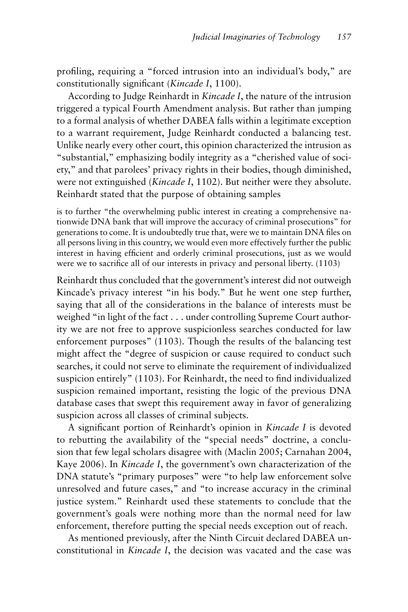profiling, requiring a "forced intrusion into an individual's body," are constitutionally significant (*Kincade I*, 1100).

According to Judge Reinhardt in *Kincade I*, the nature of the intrusion triggered a typical Fourth Amendment analysis. But rather than jumping to a formal analysis of whether DABEA falls within a legitimate exception to a warrant requirement, Judge Reinhardt conducted a balancing test. Unlike nearly every other court, this opinion characterized the intrusion as "substantial," emphasizing bodily integrity as a "cherished value of society," and that parolees' privacy rights in their bodies, though diminished, were not extinguished (*Kincade I*, 1102). But neither were they absolute. Reinhardt stated that the purpose of obtaining samples

is to further "the overwhelming public interest in creating a comprehensive nationwide DNA bank that will improve the accuracy of criminal prosecutions" for generations to come. It is undoubtedly true that, were we to maintain DNA files on all persons living in this country, we would even more effectively further the public interest in having efficient and orderly criminal prosecutions, just as we would were we to sacrifice all of our interests in privacy and personal liberty. (1103)

Reinhardt thus concluded that the government's interest did not outweigh Kincade's privacy interest "in his body." But he went one step further, saying that all of the considerations in the balance of interests must be weighed "in light of the fact . . . under controlling Supreme Court authority we are not free to approve suspicionless searches conducted for law enforcement purposes" (1103). Though the results of the balancing test might affect the "degree of suspicion or cause required to conduct such searches, it could not serve to eliminate the requirement of individualized suspicion entirely" (1103). For Reinhardt, the need to find individualized suspicion remained important, resisting the logic of the previous DNA database cases that swept this requirement away in favor of generalizing suspicion across all classes of criminal subjects.

A significant portion of Reinhardt's opinion in *Kincade I* is devoted to rebutting the availability of the "special needs" doctrine, a conclusion that few legal scholars disagree with (Maclin 2005; Carnahan 2004, Kaye 2006). In *Kincade I*, the government's own characterization of the DNA statute's "primary purposes" were "to help law enforcement solve unresolved and future cases," and "to increase accuracy in the criminal justice system." Reinhardt used these statements to conclude that the government's goals were nothing more than the normal need for law enforcement, therefore putting the special needs exception out of reach.

As mentioned previously, after the Ninth Circuit declared DABEA unconstitutional in *Kincade I*, the decision was vacated and the case was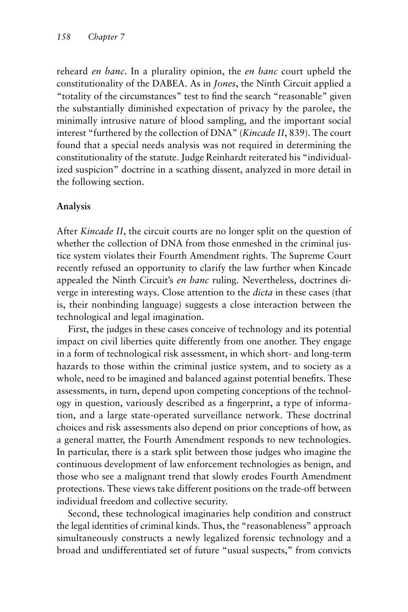reheard *en banc*. In a plurality opinion, the *en banc* court upheld the constitutionality of the DABEA. As in *Jones*, the Ninth Circuit applied a "totality of the circumstances" test to find the search "reasonable" given the substantially diminished expectation of privacy by the parolee, the minimally intrusive nature of blood sampling, and the important social interest "furthered by the collection of DNA" ( *Kincade II*, 839). The court found that a special needs analysis was not required in determining the constitutionality of the statute. Judge Reinhardt reiterated his "individualized suspicion" doctrine in a scathing dissent, analyzed in more detail in the following section.

## **Analysis**

After *Kincade II*, the circuit courts are no longer split on the question of whether the collection of DNA from those enmeshed in the criminal justice system violates their Fourth Amendment rights. The Supreme Court recently refused an opportunity to clarify the law further when Kincade appealed the Ninth Circuit's *en banc* ruling. Nevertheless, doctrines diverge in interesting ways. Close attention to the *dicta* in these cases (that is, their nonbinding language) suggests a close interaction between the technological and legal imagination.

First, the judges in these cases conceive of technology and its potential impact on civil liberties quite differently from one another. They engage in a form of technological risk assessment, in which short-and long- term hazards to those within the criminal justice system, and to society as a whole, need to be imagined and balanced against potential benefits. These assessments, in turn, depend upon competing conceptions of the technology in question, variously described as a fingerprint, a type of information, and a large state- operated surveillance network. These doctrinal choices and risk assessments also depend on prior conceptions of how, as a general matter, the Fourth Amendment responds to new technologies. In particular, there is a stark split between those judges who imagine the continuous development of law enforcement technologies as benign, and those who see a malignant trend that slowly erodes Fourth Amendment protections. These views take different positions on the trade- off between individual freedom and collective security.

Second, these technological imaginaries help condition and construct the legal identities of criminal kinds. Thus, the "reasonableness" approach simultaneously constructs a newly legalized forensic technology and a broad and undifferentiated set of future "usual suspects," from convicts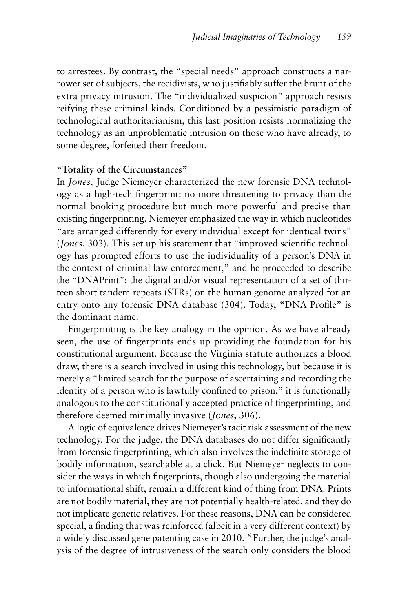to arrestees. By contrast, the "special needs" approach constructs a narrower set of subjects, the recidivists, who justifiably suffer the brunt of the extra privacy intrusion. The "individualized suspicion" approach resists reifying these criminal kinds. Conditioned by a pessimistic paradigm of technological authoritarianism, this last position resists normalizing the technology as an unproblematic intrusion on those who have already, to some degree, forfeited their freedom.

#### **"Totality of the Circumstances"**

In *Jones*, Judge Niemeyer characterized the new forensic DNA technology as a high-tech fingerprint: no more threatening to privacy than the normal booking procedure but much more powerful and precise than existing fingerprinting. Niemeyer emphasized the way in which nucleotides "are arranged differently for every individual except for identical twins" (*Jones*, 303). This set up his statement that "improved scientific technology has prompted efforts to use the individuality of a person's DNA in the context of criminal law enforcement," and he proceeded to describe the "DNAPrint": the digital and/or visual representation of a set of thirteen short tandem repeats (STRs) on the human genome analyzed for an entry onto any forensic DNA database (304). Today, "DNA Profile" is the dominant name.

Fingerprinting is the key analogy in the opinion. As we have already seen, the use of fingerprints ends up providing the foundation for his constitutional argument. Because the Virginia statute authorizes a blood draw, there is a search involved in using this technology, but because it is merely a "limited search for the purpose of ascertaining and recording the identity of a person who is lawfully confined to prison," it is functionally analogous to the constitutionally accepted practice of fingerprinting, and therefore deemed minimally invasive ( *Jones*, 306).

A logic of equivalence drives Niemeyer's tacit risk assessment of the new technology. For the judge, the DNA databases do not differ significantly from forensic fingerprinting, which also involves the indefinite storage of bodily information, searchable at a click. But Niemeyer neglects to consider the ways in which fingerprints, though also undergoing the material to informational shift, remain a different kind of thing from DNA. Prints are not bodily material, they are not potentially health- related, and they do not implicate genetic relatives. For these reasons, DNA can be considered special, a finding that was reinforced (albeit in a very different context) by a widely discussed gene patenting case in 2010.<sup>16</sup> Further, the judge's analysis of the degree of intrusiveness of the search only considers the blood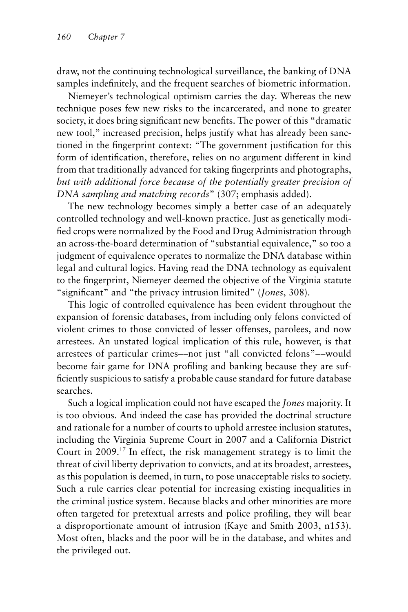draw, not the continuing technological surveillance, the banking of DNA samples indefinitely, and the frequent searches of biometric information.

Niemeyer's technological optimism carries the day. Whereas the new technique poses few new risks to the incarcerated, and none to greater society, it does bring significant new benefits. The power of this "dramatic new tool," increased precision, helps justify what has already been sanctioned in the fingerprint context: "The government justification for this form of identification, therefore, relies on no argument different in kind from that traditionally advanced for taking fingerprints and photographs, *but with additional force because of the potentially greater precision of DNA sampling and matching records*" (307; emphasis added).

The new technology becomes simply a better case of an adequately controlled technology and well- known practice. Just as genetically modified crops were normalized by the Food and Drug Administration through an across- the- board determination of "substantial equivalence," so too a judgment of equivalence operates to normalize the DNA database within legal and cultural logics. Having read the DNA technology as equivalent to the fingerprint, Niemeyer deemed the objective of the Virginia statute "significant" and "the privacy intrusion limited" (*Jones*, 308).

This logic of controlled equivalence has been evident throughout the expansion of forensic databases, from including only felons convicted of violent crimes to those convicted of lesser offenses, parolees, and now arrestees. An unstated logical implication of this rule, however, is that arrestees of particular crimes––not just "all convicted felons"––would become fair game for DNA profiling and banking because they are sufficiently suspicious to satisfy a probable cause standard for future database searches.

Such a logical implication could not have escaped the *Jones* majority. It is too obvious. And indeed the case has provided the doctrinal structure and rationale for a number of courts to uphold arrestee inclusion statutes, including the Virginia Supreme Court in 2007 and a California District Court in  $2009$ .<sup>17</sup> In effect, the risk management strategy is to limit the threat of civil liberty deprivation to convicts, and at its broadest, arrestees, as this population is deemed, in turn, to pose unacceptable risks to society. Such a rule carries clear potential for increasing existing inequalities in the criminal justice system. Because blacks and other minorities are more often targeted for pretextual arrests and police profiling, they will bear a disproportionate amount of intrusion (Kaye and Smith 2003, n153). Most often, blacks and the poor will be in the database, and whites and the privileged out.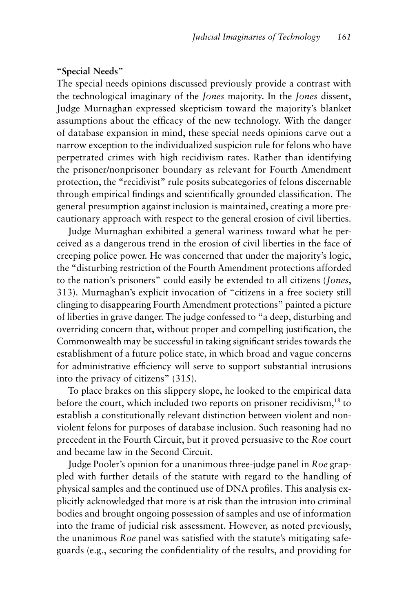#### **"Special Needs"**

The special needs opinions discussed previously provide a contrast with the technological imaginary of the *Jones* majority. In the *Jones* dissent, Judge Murnaghan expressed skepticism toward the majority's blanket assumptions about the efficacy of the new technology. With the danger of database expansion in mind, these special needs opinions carve out a narrow exception to the individualized suspicion rule for felons who have perpetrated crimes with high recidivism rates. Rather than identifying the prisoner/nonprisoner boundary as relevant for Fourth Amendment protection, the "recidivist" rule posits subcategories of felons discernable through empirical findings and scientifically grounded classification. The general presumption against inclusion is maintained, creating a more precautionary approach with respect to the general erosion of civil liberties.

Judge Murnaghan exhibited a general wariness toward what he perceived as a dangerous trend in the erosion of civil liberties in the face of creeping police power. He was concerned that under the majority's logic, the "disturbing restriction of the Fourth Amendment protections afforded to the nation's prisoners" could easily be extended to all citizens ( *Jones*, 313). Murnaghan's explicit invocation of "citizens in a free society still clinging to disappearing Fourth Amendment protections" painted a picture of liberties in grave danger. The judge confessed to "a deep, disturbing and overriding concern that, without proper and compelling justification, the Commonwealth may be successful in taking significant strides towards the establishment of a future police state, in which broad and vague concerns for administrative efficiency will serve to support substantial intrusions into the privacy of citizens" (315).

To place brakes on this slippery slope, he looked to the empirical data before the court, which included two reports on prisoner recidivism,<sup>18</sup> to establish a constitutionally relevant distinction between violent and nonviolent felons for purposes of database inclusion. Such reasoning had no precedent in the Fourth Circuit, but it proved persuasive to the *Roe* court and became law in the Second Circuit.

Judge Pooler's opinion for a unanimous three- judge panel in *Roe* grappled with further details of the statute with regard to the handling of physical samples and the continued use of DNA profiles. This analysis explicitly acknowledged that more is at risk than the intrusion into criminal bodies and brought ongoing possession of samples and use of information into the frame of judicial risk assessment. However, as noted previously, the unanimous *Roe* panel was satisfied with the statute's mitigating safeguards (e.g., securing the confidentiality of the results, and providing for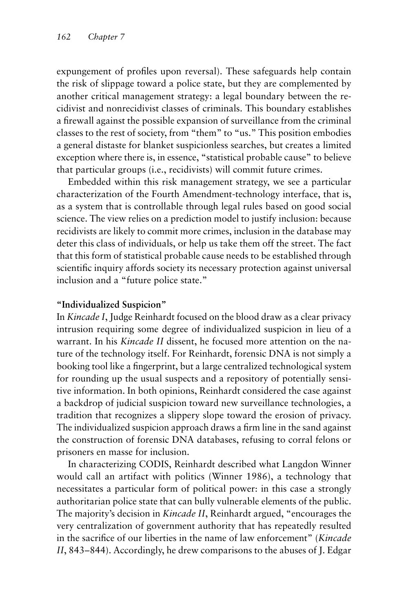expungement of profiles upon reversal). These safeguards help contain the risk of slippage toward a police state, but they are complemented by another critical management strategy: a legal boundary between the recidivist and nonrecidivist classes of criminals. This boundary establishes a firewall against the possible expansion of surveillance from the criminal classes to the rest of society, from "them" to "us." This position embodies a general distaste for blanket suspicionless searches, but creates a limited exception where there is, in essence, "statistical probable cause" to believe that particular groups (i.e., recidivists) will commit future crimes.

Embedded within this risk management strategy, we see a particular characterization of the Fourth Amendment- technology interface, that is, as a system that is controllable through legal rules based on good social science. The view relies on a prediction model to justify inclusion: because recidivists are likely to commit more crimes, inclusion in the database may deter this class of individuals, or help us take them off the street. The fact that this form of statistical probable cause needs to be established through scientific inquiry affords society its necessary protection against universal inclusion and a "future police state."

#### **"Individualized Suspicion"**

In *Kincade I*, Judge Reinhardt focused on the blood draw as a clear privacy intrusion requiring some degree of individualized suspicion in lieu of a warrant. In his *Kincade II* dissent, he focused more attention on the nature of the technology itself. For Reinhardt, forensic DNA is not simply a booking tool like a fingerprint, but a large centralized technological system for rounding up the usual suspects and a repository of potentially sensitive information. In both opinions, Reinhardt considered the case against a backdrop of judicial suspicion toward new surveillance technologies, a tradition that recognizes a slippery slope toward the erosion of privacy. The individualized suspicion approach draws a firm line in the sand against the construction of forensic DNA databases, refusing to corral felons or prisoners en masse for inclusion.

In characterizing CODIS, Reinhardt described what Langdon Winner would call an artifact with politics (Winner 1986), a technology that necessitates a particular form of political power: in this case a strongly authoritarian police state that can bully vulnerable elements of the public. The majority's decision in *Kincade II*, Reinhardt argued, "encourages the very centralization of government authority that has repeatedly resulted in the sacrifice of our liberties in the name of law enforcement" (*Kincade*) *II*, 843–844). Accordingly, he drew comparisons to the abuses of J. Edgar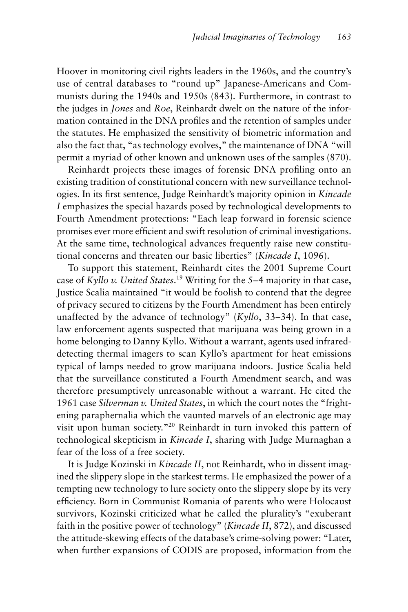Hoover in monitoring civil rights leaders in the 1960s, and the country's use of central databases to "round up" Japanese- Americans and Communists during the 1940s and 1950s (843). Furthermore, in contrast to the judges in *Jones* and *Roe*, Reinhardt dwelt on the nature of the information contained in the DNA profiles and the retention of samples under the statutes. He emphasized the sensitivity of biometric information and also the fact that, "as technology evolves," the maintenance of DNA "will permit a myriad of other known and unknown uses of the samples (870).

Reinhardt projects these images of forensic DNA profiling onto an existing tradition of constitutional concern with new surveillance technologies. In its first sentence, Judge Reinhardt's majority opinion in *Kincade I* emphasizes the special hazards posed by technological developments to Fourth Amendment protections: "Each leap forward in forensic science promises ever more efficient and swift resolution of criminal investigations. At the same time, technological advances frequently raise new constitutional concerns and threaten our basic liberties" ( *Kincade I*, 1096).

To support this statement, Reinhardt cites the 2001 Supreme Court case of *Kyllo v. United States*. 19 Writing for the 5–4 majority in that case, Justice Scalia maintained "it would be foolish to contend that the degree of privacy secured to citizens by the Fourth Amendment has been entirely unaffected by the advance of technology" (*Kyllo*, 33-34). In that case, law enforcement agents suspected that marijuana was being grown in a home belonging to Danny Kyllo. Without a warrant, agents used infrareddetecting thermal imagers to scan Kyllo's apartment for heat emissions typical of lamps needed to grow marijuana indoors. Justice Scalia held that the surveillance constituted a Fourth Amendment search, and was therefore presumptively unreasonable without a warrant. He cited the 1961 case *Silverman v. United States*, in which the court notes the "frightening paraphernalia which the vaunted marvels of an electronic age may visit upon human society." 20 Reinhardt in turn invoked this pattern of technological skepticism in *Kincade I*, sharing with Judge Murnaghan a fear of the loss of a free society.

It is Judge Kozinski in *Kincade II*, not Reinhardt, who in dissent imagined the slippery slope in the starkest terms. He emphasized the power of a tempting new technology to lure society onto the slippery slope by its very efficiency. Born in Communist Romania of parents who were Holocaust survivors, Kozinski criticized what he called the plurality's "exuberant faith in the positive power of technology" (*Kincade II*, 872), and discussed the attitude- skewing effects of the database's crime- solving power: "Later, when further expansions of CODIS are proposed, information from the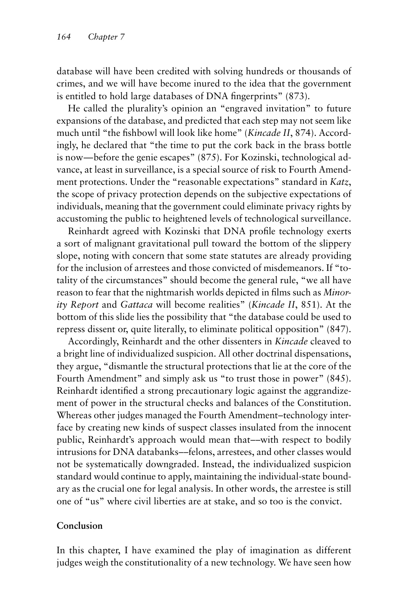database will have been credited with solving hundreds or thousands of crimes, and we will have become inured to the idea that the government is entitled to hold large databases of DNA fingerprints" (873).

He called the plurality's opinion an "engraved invitation" to future expansions of the database, and predicted that each step may not seem like much until "the fishbowl will look like home" (*Kincade II*, 874). Accordingly, he declared that "the time to put the cork back in the brass bottle is now—before the genie escapes" (875). For Kozinski, technological advance, at least in surveillance, is a special source of risk to Fourth Amendment protections. Under the "reasonable expectations" standard in *Katz*, the scope of privacy protection depends on the subjective expectations of individuals, meaning that the government could eliminate privacy rights by accustoming the public to heightened levels of technological surveillance.

Reinhardt agreed with Kozinski that DNA profile technology exerts a sort of malignant gravitational pull toward the bottom of the slippery slope, noting with concern that some state statutes are already providing for the inclusion of arrestees and those convicted of misdemeanors. If "totality of the circumstances" should become the general rule, "we all have reason to fear that the nightmarish worlds depicted in films such as *Minority Report* and *Gattaca* will become realities" ( *Kincade II*, 851). At the bottom of this slide lies the possibility that "the database could be used to repress dissent or, quite literally, to eliminate political opposition" (847).

Accordingly, Reinhardt and the other dissenters in *Kincade* cleaved to a bright line of individualized suspicion. All other doctrinal dispensations, they argue, "dismantle the structural protections that lie at the core of the Fourth Amendment" and simply ask us "to trust those in power" (845). Reinhardt identified a strong precautionary logic against the aggrandizement of power in the structural checks and balances of the Constitution. Whereas other judges managed the Fourth Amendment–technology interface by creating new kinds of suspect classes insulated from the innocent public, Reinhardt's approach would mean that––with respect to bodily intrusions for DNA databanks––felons, arrestees, and other classes would not be systematically downgraded. Instead, the individualized suspicion standard would continue to apply, maintaining the individual-state boundary as the crucial one for legal analysis. In other words, the arrestee is still one of "us" where civil liberties are at stake, and so too is the convict.

## **Conclusion**

In this chapter, I have examined the play of imagination as different judges weigh the constitutionality of a new technology. We have seen how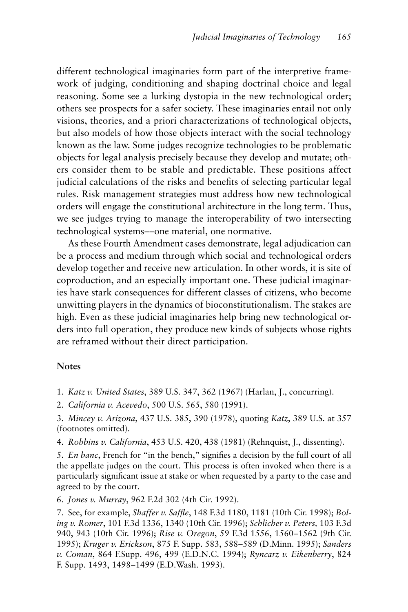different technological imaginaries form part of the interpretive framework of judging, conditioning and shaping doctrinal choice and legal reasoning. Some see a lurking dystopia in the new technological order; others see prospects for a safer society. These imaginaries entail not only visions, theories, and a priori characterizations of technological objects, but also models of how those objects interact with the social technology known as the law. Some judges recognize technologies to be problematic objects for legal analysis precisely because they develop and mutate; others consider them to be stable and predictable. These positions affect judicial calculations of the risks and benefits of selecting particular legal rules. Risk management strategies must address how new technological orders will engage the constitutional architecture in the long term. Thus, we see judges trying to manage the interoperability of two intersecting technological systems––one material, one normative.

As these Fourth Amendment cases demonstrate, legal adjudication can be a process and medium through which social and technological orders develop together and receive new articulation. In other words, it is site of coproduction, and an especially important one. These judicial imaginaries have stark consequences for different classes of citizens, who become unwitting players in the dynamics of bioconstitutionalism. The stakes are high. Even as these judicial imaginaries help bring new technological orders into full operation, they produce new kinds of subjects whose rights are reframed without their direct participation.

#### **Notes**

1. *Katz v. United States*, 389 U.S. 347, 362 (1967) (Harlan, J., concurring).

2. *California v. Acevedo*, 500 U.S. 565, 580 (1991).

3. *Mincey v. Arizona*, 437 U.S. 385, 390 (1978), quoting *Katz*, 389 U.S. at 357 (footnotes omitted).

4. *Robbins v. California*, 453 U.S. 420, 438 (1981) (Rehnquist, J., dissenting).

5. *En banc*, French for "in the bench," signifies a decision by the full court of all the appellate judges on the court. This process is often invoked when there is a particularly significant issue at stake or when requested by a party to the case and agreed to by the court.

6. *Jones v. Murray*, 962 F.2d 302 (4th Cir. 1992).

7. See, for example, *Shaffer v. Saffle*, 148 F.3d 1180, 1181 (10th Cir. 1998); *Boling v. Romer*, 101 F.3d 1336, 1340 (10th Cir. 1996); *Schlicher v. Peters,* 103 F.3d 940, 943 (10th Cir. 1996); *Rise v. Oregon*, 59 F.3d 1556, 1560–1562 (9th Cir. 1995); *Kruger v. Erickson*, 875 F. Supp. 583, 588–589 (D.Minn. 1995); *Sanders v. Coman*, 864 F.Supp. 496, 499 (E.D.N.C. 1994); *Ryncarz v. Eikenberry*, 824 F. Supp. 1493, 1498–1499 (E.D.Wash. 1993).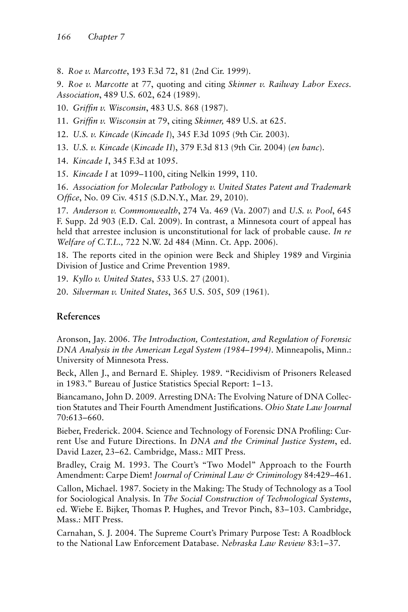8 . *Roe v. Marcotte*, 193 F.3d 72, 81 (2nd Cir. 1999).

9. *Roe v. Marcotte* at 77, quoting and citing *Skinner v. Railway Labor Execs. Association*, 489 U.S. 602, 624 (1989).

10. *Griffi n v. Wisconsin*, 483 U.S. 868 (1987).

11. *Griffin v. Wisconsin* at 79, citing *Skinner*, 489 U.S. at 625.

12. *U.S. v. Kincade* ( *Kincade I*), 345 F.3d 1095 (9th Cir. 2003).

13. *U.S. v. Kincade* ( *Kincade II*), 379 F.3d 813 (9th Cir. 2004) ( *en banc*).

14. *Kincade I*, 345 F.3d at 1095.

15. *Kincade I* at 1099–1100, citing Nelkin 1999 , 110.

16. *Association for Molecular Pathology v. United States Patent and Trademark Offi ce*, No. 09 Civ. 4515 (S.D.N.Y., Mar. 29, 2010).

17. *Anderson v. Commonwealth*, 274 Va. 469 (Va. 2007) and *U.S. v. Pool*, 645 F. Supp. 2d 903 (E.D. Cal. 2009). In contrast, a Minnesota court of appeal has held that arrestee inclusion is unconstitutional for lack of probable cause. *In re Welfare of C.T.L.,* 722 N.W. 2d 484 (Minn. Ct. App. 2006).

18. The reports cited in the opinion were Beck and Shipley 1989 and Virginia Division of Justice and Crime Prevention 1989.

19. *Kyllo v. United States*, 533 U.S. 27 (2001).

20. *Silverman v. United States*, 365 U.S. 505, 509 (1961).

## **References**

Aronson, Jay. 2006. *The Introduction, Contestation, and Regulation of Forensic DNA Analysis in the American Legal System (1984–1994)*. Minneapolis, Minn. : University of Minnesota Press.

Beck, Allen J., and Bernard E. Shipley. 1989. "Recidivism of Prisoners Released in 1983." Bureau of Justice Statistics Special Report: 1–13.

Biancamano, John D. 2009. Arresting DNA: The Evolving Nature of DNA Collection Statutes and Their Fourth Amendment Justifications. Ohio State Law Journal 70:613-660.

Bieber, Frederick. 2004. Science and Technology of Forensic DNA Profiling: Current Use and Future Directions . In *DNA and the Criminal Justice System*, ed. David Lazer, 23–62. Cambridge, Mass.: MIT Press.

Bradley, Craig M. 1993. The Court's "Two Model" Approach to the Fourth Amendment: Carpe Diem! *Journal of Criminal Law & Criminology* 84:429-461.

Callon, Michael. 1987. Society in the Making: The Study of Technology as a Tool for Sociological Analysis . In *The Social Construction of Technological Systems*, ed. Wiebe E. Bijker, Thomas P. Hughes, and Trevor Pinch, 83-103. Cambridge, Mass.: MIT Press.

Carnahan, S. J. 2004. The Supreme Court's Primary Purpose Test: A Roadblock to the National Law Enforcement Database. *Nebraska Law Review* 83:1–37.